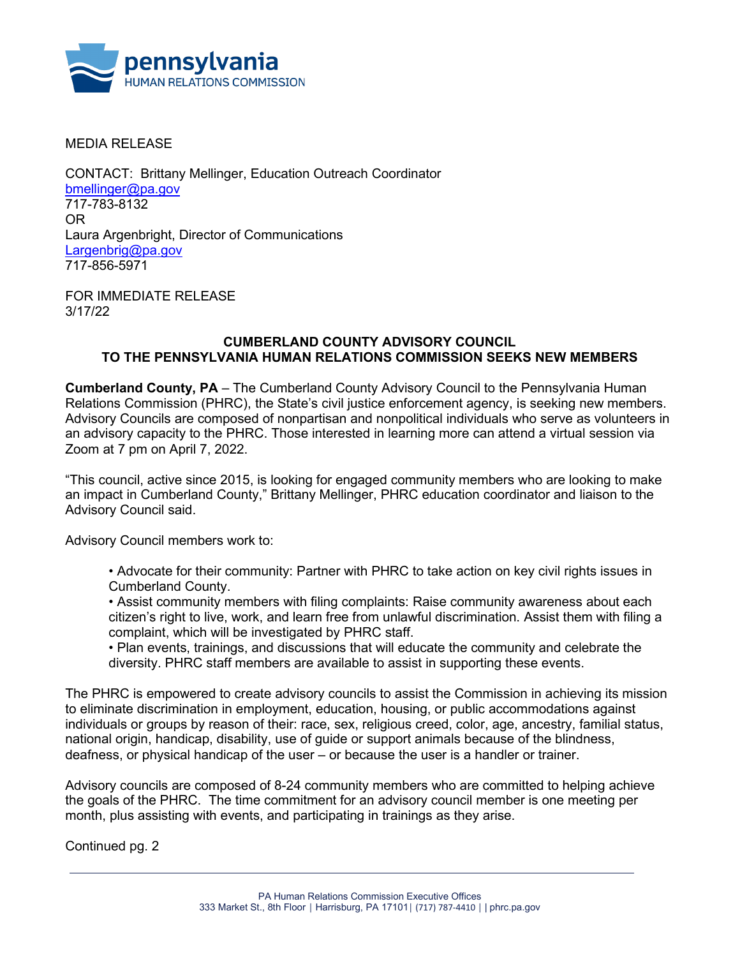

MEDIA RELEASE

CONTACT: Brittany Mellinger, Education Outreach Coordinator [bmellinger@pa.gov](mailto:bmellinger@pa.gov) 717-783-8132 OR Laura Argenbright, Director of Communications [Largenbrig@pa.gov](mailto:Largenbrig@pa.gov) 717-856-5971

FOR IMMEDIATE RELEASE 3/17/22

## **CUMBERLAND COUNTY ADVISORY COUNCIL TO THE PENNSYLVANIA HUMAN RELATIONS COMMISSION SEEKS NEW MEMBERS**

**Cumberland County, PA** – The Cumberland County Advisory Council to the Pennsylvania Human Relations Commission (PHRC), the State's civil justice enforcement agency, is seeking new members. Advisory Councils are composed of nonpartisan and nonpolitical individuals who serve as volunteers in an advisory capacity to the PHRC. Those interested in learning more can attend a virtual session via Zoom at 7 pm on April 7, 2022.

"This council, active since 2015, is looking for engaged community members who are looking to make an impact in Cumberland County," Brittany Mellinger, PHRC education coordinator and liaison to the Advisory Council said.

Advisory Council members work to:

• Advocate for their community: Partner with PHRC to take action on key civil rights issues in Cumberland County.

• Assist community members with filing complaints: Raise community awareness about each citizen's right to live, work, and learn free from unlawful discrimination. Assist them with filing a complaint, which will be investigated by PHRC staff.

• Plan events, trainings, and discussions that will educate the community and celebrate the diversity. PHRC staff members are available to assist in supporting these events.

The PHRC is empowered to create advisory councils to assist the Commission in achieving its mission to eliminate discrimination in employment, education, housing, or public accommodations against individuals or groups by reason of their: race, sex, religious creed, color, age, ancestry, familial status, national origin, handicap, disability, use of guide or support animals because of the blindness, deafness, or physical handicap of the user – or because the user is a handler or trainer.

Advisory councils are composed of 8-24 community members who are committed to helping achieve the goals of the PHRC. The time commitment for an advisory council member is one meeting per month, plus assisting with events, and participating in trainings as they arise.

Continued pg. 2